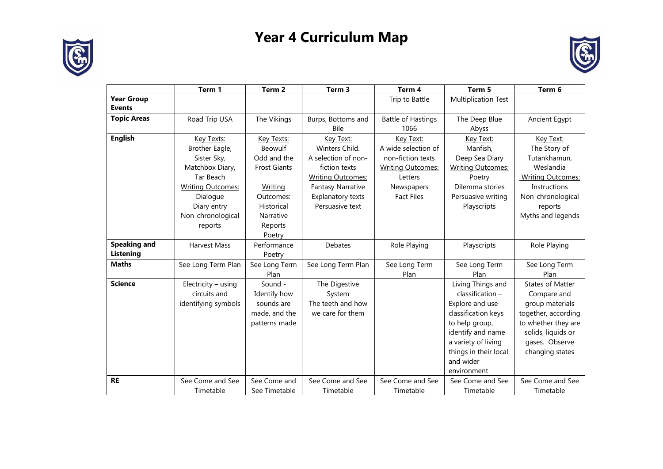

## **Year 4 Curriculum Map**



|                                    | Term 1                   | Term <sub>2</sub>   | Term 3                   | Term 4                    | Term 5                     | Term 6                   |
|------------------------------------|--------------------------|---------------------|--------------------------|---------------------------|----------------------------|--------------------------|
| <b>Year Group</b><br><b>Events</b> |                          |                     |                          | Trip to Battle            | <b>Multiplication Test</b> |                          |
| <b>Topic Areas</b>                 | Road Trip USA            | The Vikings         | Burps, Bottoms and       | <b>Battle of Hastings</b> | The Deep Blue              | Ancient Egypt            |
|                                    |                          |                     | <b>Bile</b>              | 1066                      | Abyss                      |                          |
| <b>English</b>                     | Key Texts:               | Key Texts:          | Key Text:                | Key Text:                 | Key Text:                  | Key Text:                |
|                                    | Brother Eagle,           | Beowulf             | Winters Child.           | A wide selection of       | Manfish,                   | The Story of             |
|                                    | Sister Sky,              | Odd and the         | A selection of non-      | non-fiction texts         | Deep Sea Diary             | Tutankhamun,             |
|                                    | Matchbox Diary,          | <b>Frost Giants</b> | fiction texts            | <b>Writing Outcomes:</b>  | <b>Writing Outcomes:</b>   | Weslandia                |
|                                    | Tar Beach                |                     | <b>Writing Outcomes:</b> | Letters                   | Poetry                     | <b>Writing Outcomes:</b> |
|                                    | <b>Writing Outcomes:</b> | Writing             | <b>Fantasy Narrative</b> | Newspapers                | Dilemma stories            | Instructions             |
|                                    | Dialogue                 | Outcomes:           | Explanatory texts        | <b>Fact Files</b>         | Persuasive writing         | Non-chronological        |
|                                    | Diary entry              | Historical          | Persuasive text          |                           | Playscripts                | reports                  |
|                                    | Non-chronological        | Narrative           |                          |                           |                            | Myths and legends        |
|                                    | reports                  | Reports             |                          |                           |                            |                          |
|                                    |                          | Poetry              |                          |                           |                            |                          |
| <b>Speaking and</b>                | Harvest Mass             | Performance         | Debates                  | Role Playing              | Playscripts                | Role Playing             |
| Listening                          |                          | Poetry              |                          |                           |                            |                          |
| <b>Maths</b>                       | See Long Term Plan       | See Long Term       | See Long Term Plan       | See Long Term             | See Long Term              | See Long Term            |
|                                    |                          | Plan                |                          | Plan                      | Plan                       | Plan                     |
| <b>Science</b>                     | Electricity - using      | Sound -             | The Digestive            |                           | Living Things and          | <b>States of Matter</b>  |
|                                    | circuits and             | Identify how        | System                   |                           | classification -           | Compare and              |
|                                    | identifying symbols      | sounds are          | The teeth and how        |                           | Explore and use            | group materials          |
|                                    |                          | made, and the       | we care for them         |                           | classification keys        | together, according      |
|                                    |                          | patterns made       |                          |                           | to help group,             | to whether they are      |
|                                    |                          |                     |                          |                           | identify and name          | solids, liquids or       |
|                                    |                          |                     |                          |                           | a variety of living        | gases. Observe           |
|                                    |                          |                     |                          |                           | things in their local      | changing states          |
|                                    |                          |                     |                          |                           | and wider                  |                          |
|                                    |                          |                     |                          |                           | environment                |                          |
| <b>RE</b>                          | See Come and See         | See Come and        | See Come and See         | See Come and See          | See Come and See           | See Come and See         |
|                                    | Timetable                | See Timetable       | Timetable                | Timetable                 | Timetable                  | Timetable                |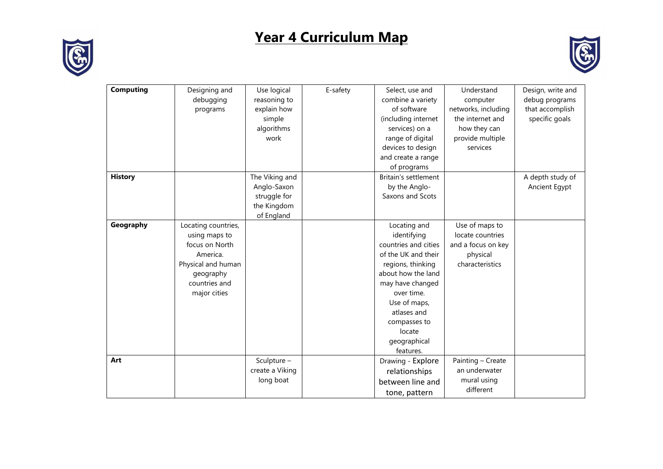

## **Year 4 Curriculum Map**



| <b>Computing</b> | Designing and       | Use logical     | E-safety | Select, use and      | Understand          | Design, write and |
|------------------|---------------------|-----------------|----------|----------------------|---------------------|-------------------|
|                  | debugging           | reasoning to    |          | combine a variety    | computer            | debug programs    |
|                  | programs            | explain how     |          | of software          | networks, including | that accomplish   |
|                  |                     | simple          |          | (including internet  | the internet and    | specific goals    |
|                  |                     | algorithms      |          | services) on a       | how they can        |                   |
|                  |                     | work            |          | range of digital     | provide multiple    |                   |
|                  |                     |                 |          | devices to design    | services            |                   |
|                  |                     |                 |          | and create a range   |                     |                   |
|                  |                     |                 |          | of programs          |                     |                   |
| <b>History</b>   |                     | The Viking and  |          | Britain's settlement |                     | A depth study of  |
|                  |                     | Anglo-Saxon     |          | by the Anglo-        |                     | Ancient Egypt     |
|                  |                     | struggle for    |          | Saxons and Scots     |                     |                   |
|                  |                     | the Kingdom     |          |                      |                     |                   |
|                  |                     | of England      |          |                      |                     |                   |
| Geography        | Locating countries, |                 |          | Locating and         | Use of maps to      |                   |
|                  | using maps to       |                 |          | identifying          | locate countries    |                   |
|                  | focus on North      |                 |          | countries and cities | and a focus on key  |                   |
|                  | America.            |                 |          | of the UK and their  | physical            |                   |
|                  | Physical and human  |                 |          | regions, thinking    | characteristics     |                   |
|                  | geography           |                 |          | about how the land   |                     |                   |
|                  | countries and       |                 |          | may have changed     |                     |                   |
|                  | major cities        |                 |          | over time.           |                     |                   |
|                  |                     |                 |          | Use of maps,         |                     |                   |
|                  |                     |                 |          | atlases and          |                     |                   |
|                  |                     |                 |          | compasses to         |                     |                   |
|                  |                     |                 |          | locate               |                     |                   |
|                  |                     |                 |          | geographical         |                     |                   |
|                  |                     |                 |          | features.            |                     |                   |
| Art              |                     | Sculpture -     |          | Drawing - Explore    | Painting - Create   |                   |
|                  |                     | create a Viking |          | relationships        | an underwater       |                   |
|                  |                     | long boat       |          | between line and     | mural using         |                   |
|                  |                     |                 |          | tone, pattern        | different           |                   |